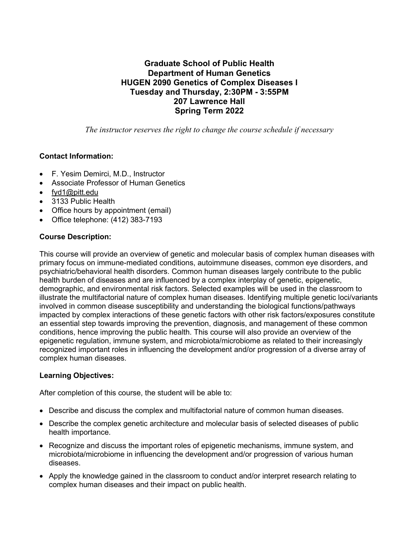# **Graduate School of Public Health Department of Human Genetics HUGEN 2090 Genetics of Complex Diseases I Tuesday and Thursday, 2:30PM - 3:55PM 207 Lawrence Hall Spring Term 2022**

*The instructor reserves the right to change the course schedule if necessary*

## **Contact Information:**

- F. Yesim Demirci, M.D., Instructor
- Associate Professor of Human Genetics
- [fyd1@pitt.edu](mailto:gollin@pitt.edu)
- 3133 Public Health
- Office hours by appointment (email)
- Office telephone: (412) 383-7193

## **Course Description:**

This course will provide an overview of genetic and molecular basis of complex human diseases with primary focus on immune-mediated conditions, autoimmune diseases, common eye disorders, and psychiatric/behavioral health disorders. Common human diseases largely contribute to the public health burden of diseases and are influenced by a complex interplay of genetic, epigenetic, demographic, and environmental risk factors. Selected examples will be used in the classroom to illustrate the multifactorial nature of complex human diseases. Identifying multiple genetic loci/variants involved in common disease susceptibility and understanding the biological functions/pathways impacted by complex interactions of these genetic factors with other risk factors/exposures constitute an essential step towards improving the prevention, diagnosis, and management of these common conditions, hence improving the public health. This course will also provide an overview of the epigenetic regulation, immune system, and microbiota/microbiome as related to their increasingly recognized important roles in influencing the development and/or progression of a diverse array of complex human diseases.

#### **Learning Objectives:**

After completion of this course, the student will be able to:

- Describe and discuss the complex and multifactorial nature of common human diseases.
- Describe the complex genetic architecture and molecular basis of selected diseases of public health importance.
- Recognize and discuss the important roles of epigenetic mechanisms, immune system, and microbiota/microbiome in influencing the development and/or progression of various human diseases.
- Apply the knowledge gained in the classroom to conduct and/or interpret research relating to complex human diseases and their impact on public health.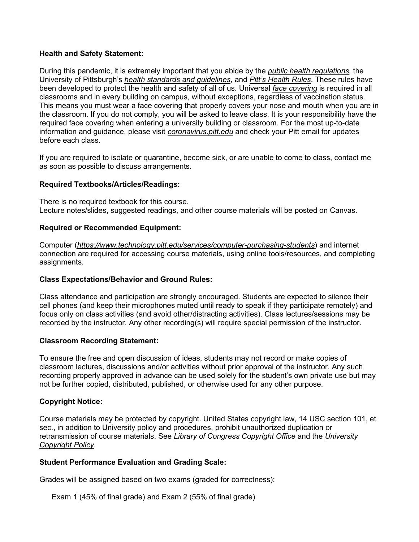#### **Health and Safety Statement:**

During this pandemic, it is extremely important that you abide by the *[public health regulations,](https://www.alleghenycounty.us/Health-Department/Resources/COVID-19/COVID-19.aspx)* the University of Pittsburgh's *[health standards and guidelines](https://www.policy.pitt.edu/university-policies-and-procedures/covid-19-standards-and-guidelines)*, and *[Pitt's Health Rules](https://www.coronavirus.pitt.edu/healthy-community/pitts-health-rules)*. These rules have been developed to protect the health and safety of all of us. Universal *[face covering](https://www.coronavirus.pitt.edu/frequently-asked-questions-about-face-coverings)* is required in all classrooms and in every building on campus, without exceptions, regardless of vaccination status. This means you must wear a face covering that properly covers your nose and mouth when you are in the classroom. If you do not comply, you will be asked to leave class. It is your responsibility have the required face covering when entering a university building or classroom. For the most up-to-date information and guidance, please visit *[coronavirus.pitt.edu](http://coronavirus.pitt.edu/)* and check your Pitt email for updates before each class.

If you are required to isolate or quarantine, become sick, or are unable to come to class, contact me as soon as possible to discuss arrangements.

#### **Required Textbooks/Articles/Readings:**

There is no required textbook for this course. Lecture notes/slides, suggested readings, and other course materials will be posted on Canvas.

#### **Required or Recommended Equipment:**

Computer (*https://www.technology.pitt.edu/services/computer-purchasing-students*) and internet connection are required for accessing course materials, using online tools/resources, and completing assignments.

#### **Class Expectations/Behavior and Ground Rules:**

Class attendance and participation are strongly encouraged. Students are expected to silence their cell phones (and keep their microphones muted until ready to speak if they participate remotely) and focus only on class activities (and avoid other/distracting activities). Class lectures/sessions may be recorded by the instructor. Any other recording(s) will require special permission of the instructor.

#### **Classroom Recording Statement:**

To ensure the free and open discussion of ideas, students may not record or make copies of classroom lectures, discussions and/or activities without prior approval of the instructor. Any such recording properly approved in advance can be used solely for the student's own private use but may not be further copied, distributed, published, or otherwise used for any other purpose.

#### **Copyright Notice:**

Course materials may be protected by copyright. United States copyright law, 14 USC section 101, et sec., in addition to University policy and procedures, prohibit unauthorized duplication or retransmission of course materials. See *[Library of Congress Copyright Office](http://www.copyright.gov/)* and the *[University](http://www.cfo.pitt.edu/policies/policy/10/10-04-01.html)  [Copyright Policy](http://www.cfo.pitt.edu/policies/policy/10/10-04-01.html)*.

#### **Student Performance Evaluation and Grading Scale:**

Grades will be assigned based on two exams (graded for correctness):

Exam 1 (45% of final grade) and Exam 2 (55% of final grade)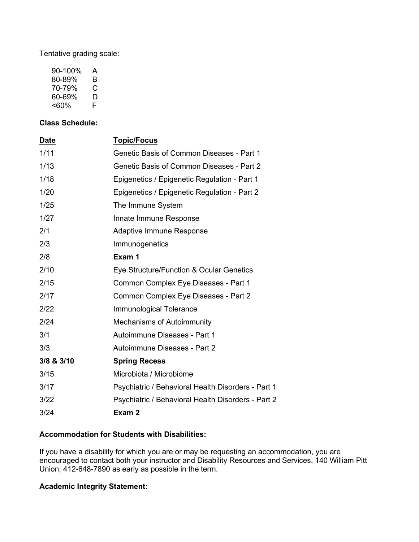Tentative grading scale:

| 90-100% | А  |
|---------|----|
| 80-89%  | B  |
| 70-79%  | С  |
| 60-69%  | D  |
| <60%    | F. |

## **Class Schedule:**

| Date       | <b>Topic/Focus</b>                                 |
|------------|----------------------------------------------------|
| 1/11       | <b>Genetic Basis of Common Diseases - Part 1</b>   |
| 1/13       | Genetic Basis of Common Diseases - Part 2          |
| 1/18       | Epigenetics / Epigenetic Regulation - Part 1       |
| 1/20       | Epigenetics / Epigenetic Regulation - Part 2       |
| 1/25       | The Immune System                                  |
| 1/27       | Innate Immune Response                             |
| 2/1        | <b>Adaptive Immune Response</b>                    |
| 2/3        | Immunogenetics                                     |
| 2/8        | Exam 1                                             |
| 2/10       | Eye Structure/Function & Ocular Genetics           |
| 2/15       | Common Complex Eye Diseases - Part 1               |
| 2/17       | Common Complex Eye Diseases - Part 2               |
| 2/22       | Immunological Tolerance                            |
| 2/24       | <b>Mechanisms of Autoimmunity</b>                  |
| 3/1        | Autoimmune Diseases - Part 1                       |
| 3/3        | Autoimmune Diseases - Part 2                       |
| 3/8 & 3/10 | <b>Spring Recess</b>                               |
| 3/15       | Microbiota / Microbiome                            |
| 3/17       | Psychiatric / Behavioral Health Disorders - Part 1 |
| 3/22       | Psychiatric / Behavioral Health Disorders - Part 2 |
| 3/24       | Exam 2                                             |
|            |                                                    |

#### **Accommodation for Students with Disabilities:**

If you have a disability for which you are or may be requesting an accommodation, you are encouraged to contact both your instructor and Disability Resources and Services, 140 William Pitt Union, 412-648-7890 as early as possible in the term.

# **Academic Integrity Statement:**